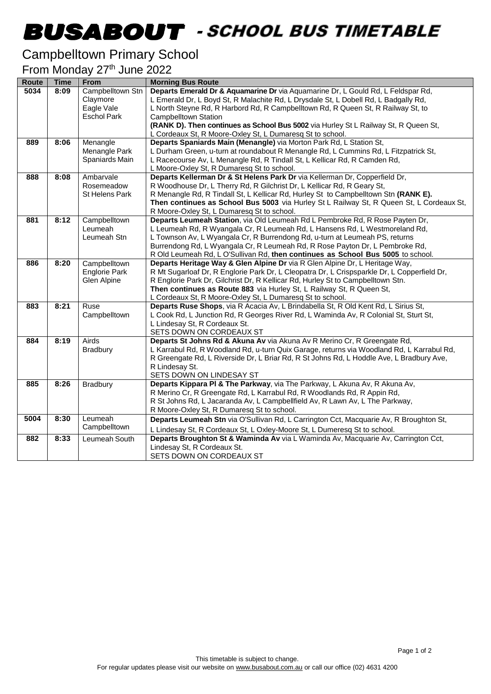## -

## Campbelltown Primary School

#### From Monday 27<sup>th</sup> June 2022

| <b>Route</b> | <b>Time</b> | From                 | <b>Morning Bus Route</b>                                                                                                                        |
|--------------|-------------|----------------------|-------------------------------------------------------------------------------------------------------------------------------------------------|
| 5034         | 8:09        | Campbelltown Stn     | Departs Emerald Dr & Aquamarine Dr via Aquamarine Dr, L Gould Rd, L Feldspar Rd,                                                                |
|              |             | Claymore             | L Emerald Dr, L Boyd St, R Malachite Rd, L Drysdale St, L Dobell Rd, L Badgally Rd,                                                             |
|              |             | Eagle Vale           | L North Steyne Rd, R Harbord Rd, R Campbelltown Rd, R Queen St, R Railway St, to                                                                |
|              |             | <b>Eschol Park</b>   | Campbelltown Station                                                                                                                            |
|              |             |                      | (RANK D). Then continues as School Bus 5002 via Hurley St L Railway St, R Queen St,                                                             |
|              |             |                      | L Cordeaux St, R Moore-Oxley St, L Dumaresq St to school.                                                                                       |
| 889          | 8:06        | Menangle             | Departs Spaniards Main (Menangle) via Morton Park Rd, L Station St,                                                                             |
|              |             | Menangle Park        | L Durham Green, u-turn at roundabout R Menangle Rd, L Cummins Rd, L Fitzpatrick St,                                                             |
|              |             | Spaniards Main       | L Racecourse Av, L Menangle Rd, R Tindall St, L Kellicar Rd, R Camden Rd,                                                                       |
|              |             |                      | L Moore-Oxley St, R Dumaresq St to school.                                                                                                      |
| 888          | 8:08        | Ambarvale            | Departs Kellerman Dr & St Helens Park Dr via Kellerman Dr, Copperfield Dr,                                                                      |
|              |             | Rosemeadow           | R Woodhouse Dr, L Therry Rd, R Gilchrist Dr, L Kellicar Rd, R Geary St,                                                                         |
|              |             | St Helens Park       | R Menangle Rd, R Tindall St, L Kellicar Rd, Hurley St to Campbelltown Stn (RANK E).                                                             |
|              |             |                      | Then continues as School Bus 5003 via Hurley St L Railway St, R Queen St, L Cordeaux St,                                                        |
|              |             |                      | R Moore-Oxley St, L Dumaresq St to school.                                                                                                      |
| 881          | 8:12        | Campbelltown         | Departs Leumeah Station, via Old Leumeah Rd L Pembroke Rd, R Rose Payten Dr,                                                                    |
|              |             | Leumeah              | L Leumeah Rd, R Wyangala Cr, R Leumeah Rd, L Hansens Rd, L Westmoreland Rd,                                                                     |
|              |             | Leumeah Stn          | L Townson Av, L Wyangala Cr, R Burrendong Rd, u-turn at Leumeah PS, returns                                                                     |
|              |             |                      | Burrendong Rd, L Wyangala Cr, R Leumeah Rd, R Rose Payton Dr, L Pembroke Rd,                                                                    |
|              |             |                      | R Old Leumeah Rd, L O'Sullivan Rd, then continues as School Bus 5005 to school.                                                                 |
| 886          | 8:20        | Campbelltown         | Departs Heritage Way & Glen Alpine Dr via R Glen Alpine Dr, L Heritage Way,                                                                     |
|              |             | <b>Englorie Park</b> | R Mt Sugarloaf Dr, R Englorie Park Dr, L Cleopatra Dr, L Crispsparkle Dr, L Copperfield Dr,                                                     |
|              |             | Glen Alpine          | R Englorie Park Dr, Gilchrist Dr, R Kellicar Rd, Hurley St to Campbelltown Stn.                                                                 |
|              |             |                      | Then continues as Route 883 via Hurley St, L Railway St, R Queen St,                                                                            |
| 883          | 8:21        | Ruse                 | L Cordeaux St, R Moore-Oxley St, L Dumaresq St to school.<br>Departs Ruse Shops, via R Acacia Av, L Brindabella St, R Old Kent Rd, L Sirius St, |
|              |             | Campbelltown         | L Cook Rd, L Junction Rd, R Georges River Rd, L Waminda Av, R Colonial St, Sturt St,                                                            |
|              |             |                      | L Lindesay St, R Cordeaux St.                                                                                                                   |
|              |             |                      | SETS DOWN ON CORDEAUX ST                                                                                                                        |
| 884          | 8:19        | Airds                | Departs St Johns Rd & Akuna Av via Akuna Av R Merino Cr, R Greengate Rd,                                                                        |
|              |             | <b>Bradbury</b>      | L Karrabul Rd, R Woodland Rd, u-turn Quix Garage, returns via Woodland Rd, L Karrabul Rd,                                                       |
|              |             |                      | R Greengate Rd, L Riverside Dr, L Briar Rd, R St Johns Rd, L Hoddle Ave, L Bradbury Ave,                                                        |
|              |             |                      | R Lindesay St.                                                                                                                                  |
|              |             |                      | SETS DOWN ON LINDESAY ST                                                                                                                        |
| 885          | 8:26        | Bradbury             | Departs Kippara PI & The Parkway, via The Parkway, L Akuna Av, R Akuna Av,                                                                      |
|              |             |                      | R Merino Cr, R Greengate Rd, L Karrabul Rd, R Woodlands Rd, R Appin Rd,                                                                         |
|              |             |                      | R St Johns Rd, L Jacaranda Av, L Campbellfield Av, R Lawn Av, L The Parkway,                                                                    |
|              |             |                      | R Moore-Oxley St, R Dumaresq St to school.                                                                                                      |
| 5004         | 8:30        | Leumeah              | Departs Leumeah Stn via O'Sullivan Rd, L Carrington Cct, Macquarie Av, R Broughton St,                                                          |
|              |             | Campbelltown         | L Lindesay St, R Cordeaux St, L Oxley-Moore St, L Dumeresq St to school.                                                                        |
| 882          | 8:33        | Leumeah South        | Departs Broughton St & Waminda Av via L Waminda Av, Macquarie Av, Carrington Cct,                                                               |
|              |             |                      | Lindesay St, R Cordeaux St.                                                                                                                     |
|              |             |                      | SETS DOWN ON CORDEAUX ST                                                                                                                        |
|              |             |                      |                                                                                                                                                 |